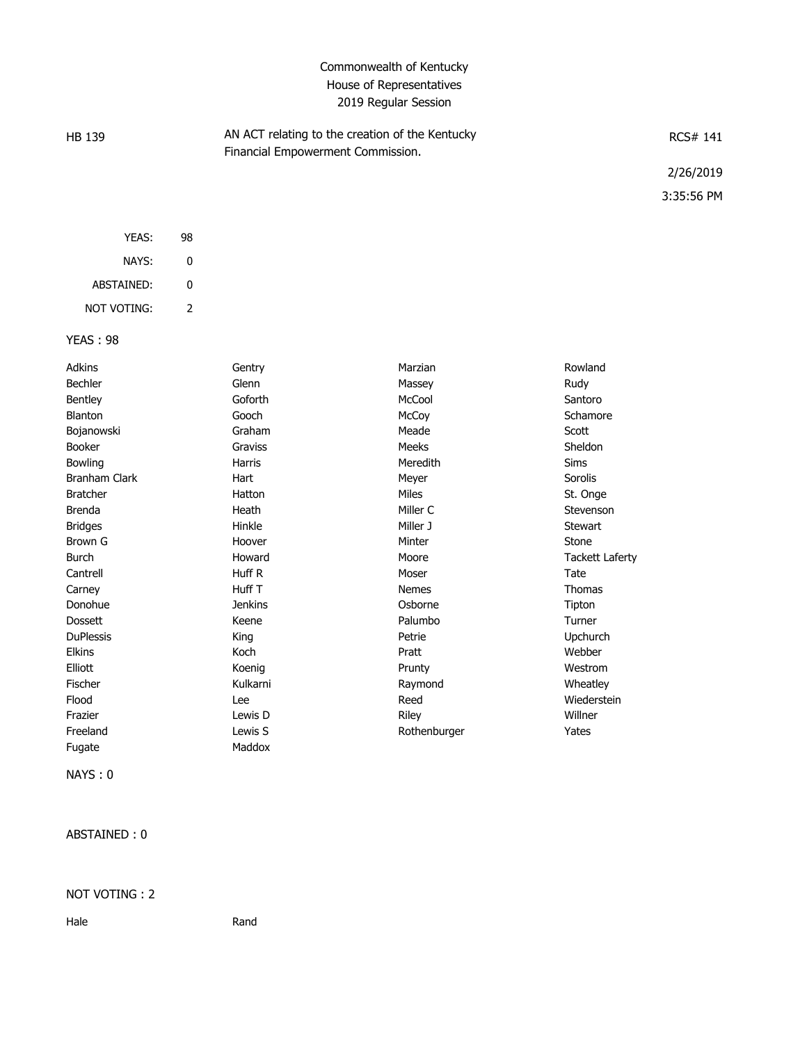## Commonwealth of Kentucky House of Representatives 2019 Regular Session

| HB 139 |    | AN ACT relating to the creation of the Kentucky<br>Financial Empowerment Commission. | RCS# 141   |
|--------|----|--------------------------------------------------------------------------------------|------------|
|        |    |                                                                                      | 2/26/2019  |
|        |    |                                                                                      | 3:35:56 PM |
| YEAS:  | 98 |                                                                                      |            |
| NAYS:  | 0  |                                                                                      |            |

| ABSTAINED:  | n |
|-------------|---|
| NOT VOTING: |   |

## YEAS : 98

| <b>Adkins</b>        | Gentry         | Marzian      | Rowland                |
|----------------------|----------------|--------------|------------------------|
| Bechler              | Glenn          | Massey       | Rudy                   |
| Bentley              | Goforth        | McCool       | Santoro                |
| Blanton              | Gooch          | McCoy        | Schamore               |
| Bojanowski           | Graham         | Meade        | Scott                  |
| <b>Booker</b>        | Graviss        | <b>Meeks</b> | Sheldon                |
| Bowling              | Harris         | Meredith     | Sims                   |
| <b>Branham Clark</b> | Hart           | Meyer        | Sorolis                |
| <b>Bratcher</b>      | Hatton         | <b>Miles</b> | St. Onge               |
| <b>Brenda</b>        | Heath          | Miller C     | Stevenson              |
| <b>Bridges</b>       | Hinkle         | Miller J     | <b>Stewart</b>         |
| Brown G              | Hoover         | Minter       | Stone                  |
| <b>Burch</b>         | Howard         | Moore        | <b>Tackett Laferty</b> |
| Cantrell             | Huff R         | Moser        | Tate                   |
| Carney               | Huff T         | <b>Nemes</b> | <b>Thomas</b>          |
| Donohue              | <b>Jenkins</b> | Osborne      | Tipton                 |
| <b>Dossett</b>       | Keene          | Palumbo      | Turner                 |
| <b>DuPlessis</b>     | King           | Petrie       | Upchurch               |
| <b>Elkins</b>        | Koch           | Pratt        | Webber                 |
| Elliott              | Koenig         | Prunty       | Westrom                |
| Fischer              | Kulkarni       | Raymond      | Wheatley               |
| Flood                | Lee            | Reed         | Wiederstein            |
| Frazier              | Lewis D        | Riley        | Willner                |
| Freeland             | Lewis S        | Rothenburger | Yates                  |
| Fugate               | Maddox         |              |                        |

NAYS : 0

ABSTAINED : 0

## NOT VOTING : 2

Hale Rand